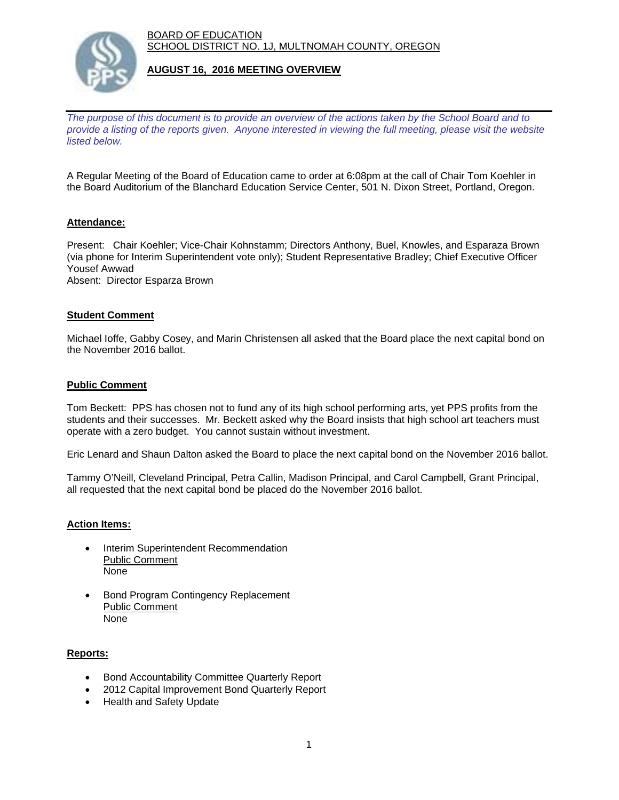BOARD OF EDUCATION SCHOOL DISTRICT NO. 1J, MULTNOMAH COUNTY, OREGON



### **AUGUST 16, 2016 MEETING OVERVIEW**

*The purpose of this document is to provide an overview of the actions taken by the School Board and to provide a listing of the reports given. Anyone interested in viewing the full meeting, please visit the website listed below.*

A Regular Meeting of the Board of Education came to order at 6:08pm at the call of Chair Tom Koehler in the Board Auditorium of the Blanchard Education Service Center, 501 N. Dixon Street, Portland, Oregon.

## **Attendance:**

Present: Chair Koehler; Vice-Chair Kohnstamm; Directors Anthony, Buel, Knowles, and Esparaza Brown (via phone for Interim Superintendent vote only); Student Representative Bradley; Chief Executive Officer Yousef Awwad Absent: Director Esparza Brown

#### **Student Comment**

Michael Ioffe, Gabby Cosey, and Marin Christensen all asked that the Board place the next capital bond on the November 2016 ballot.

#### **Public Comment**

Tom Beckett: PPS has chosen not to fund any of its high school performing arts, yet PPS profits from the students and their successes. Mr. Beckett asked why the Board insists that high school art teachers must operate with a zero budget. You cannot sustain without investment.

Eric Lenard and Shaun Dalton asked the Board to place the next capital bond on the November 2016 ballot.

Tammy O'Neill, Cleveland Principal, Petra Callin, Madison Principal, and Carol Campbell, Grant Principal, all requested that the next capital bond be placed do the November 2016 ballot.

#### **Action Items:**

- Interim Superintendent Recommendation Public Comment None
- Bond Program Contingency Replacement Public Comment None

## **Reports:**

- Bond Accountability Committee Quarterly Report
- 2012 Capital Improvement Bond Quarterly Report
- Health and Safety Update